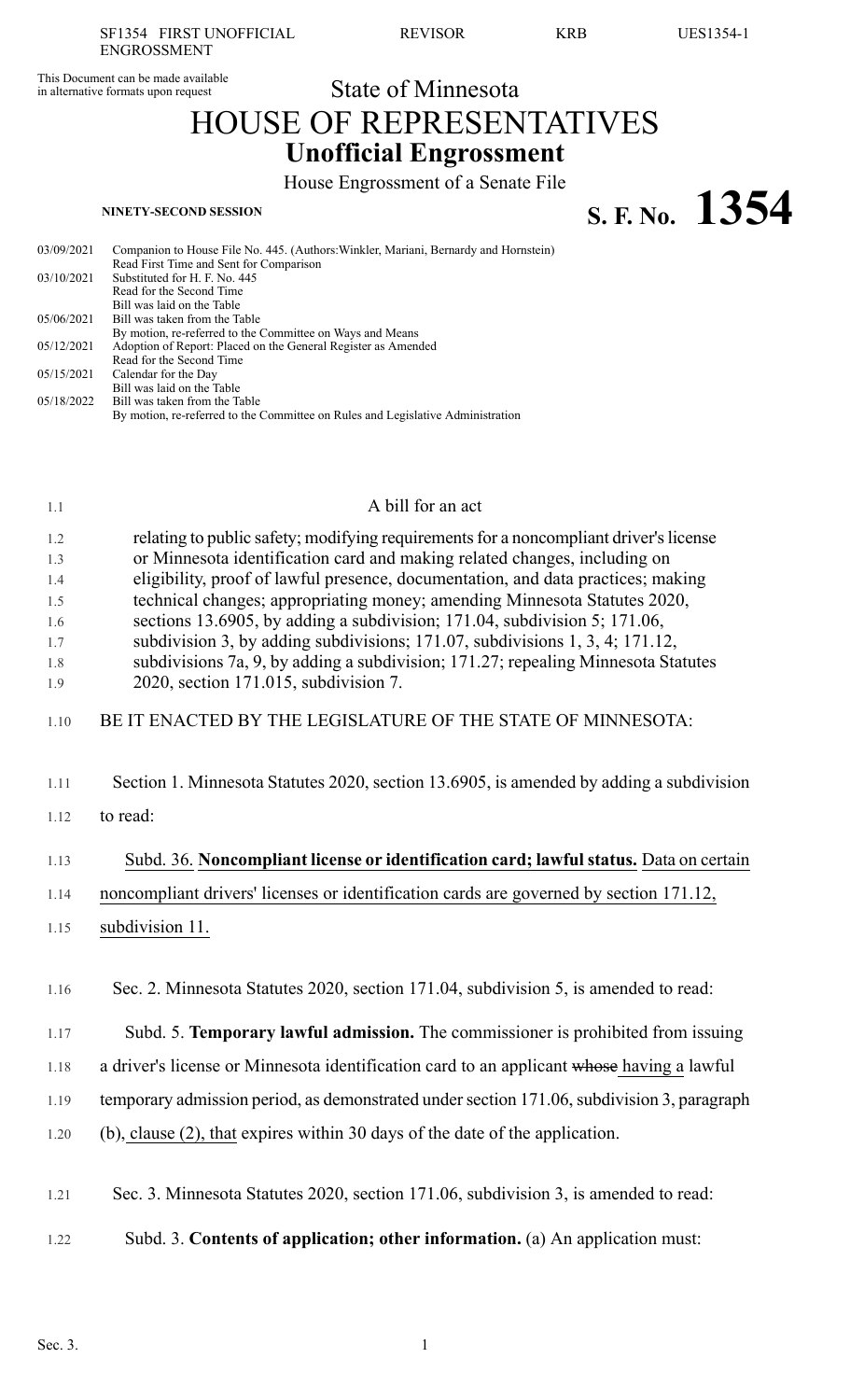This Document can be made available<br>
in alternative formats upon request<br>
State of Minnesota in alternative formats upon request

# HOUSE OF REPRESENTATIVES **Unofficial Engrossment**

House Engrossment of a Senate File

**S. F. No.**  $1354$ 

| 03/09/2021 | Companion to House File No. 445. (Authors: Winkler, Mariani, Bernardy and Hornstein) |
|------------|--------------------------------------------------------------------------------------|
|            | Read First Time and Sent for Comparison                                              |
| 03/10/2021 | Substituted for H. F. No. 445                                                        |
|            | Read for the Second Time                                                             |
|            | Bill was laid on the Table                                                           |
| 05/06/2021 | Bill was taken from the Table                                                        |
|            | By motion, re-referred to the Committee on Ways and Means                            |
| 05/12/2021 | Adoption of Report: Placed on the General Register as Amended                        |
|            | Read for the Second Time                                                             |
| 05/15/2021 | Calendar for the Day                                                                 |
|            | Bill was laid on the Table                                                           |
| 05/18/2022 | Bill was taken from the Table                                                        |
|            | By motion, re-referred to the Committee on Rules and Legislative Administration      |
|            |                                                                                      |

### 1.1 A bill for an act

| 1.2           | relating to public safety; modifying requirements for a noncompliant driver's license |
|---------------|---------------------------------------------------------------------------------------|
| 1.3           | or Minnesota identification card and making related changes, including on             |
| $\sim$ $\sim$ |                                                                                       |

- 1.4 eligibility, proof of lawful presence, documentation, and data practices; making 1.5 technical changes; appropriating money; amending Minnesota Statutes 2020,
- 1.6 sections 13.6905, by adding a subdivision; 171.04, subdivision 5; 171.06,
- 1.7 subdivision 3, by adding subdivisions; 171.07, subdivisions 1, 3, 4; 171.12,
- 1.8 subdivisions 7a, 9, by adding a subdivision; 171.27; repealing Minnesota Statutes
- 1.9 2020, section 171.015, subdivision 7.

### 1.10 BE IT ENACTED BY THE LEGISLATURE OF THE STATE OF MINNESOTA:

- 1.11 Section 1. Minnesota Statutes 2020, section 13.6905, is amended by adding a subdivision
- 1.12 to read:

# 1.13 Subd. 36. **Noncompliant license or identification card; lawfulstatus.** Data on certain

## 1.14 noncompliant drivers' licenses or identification cards are governed by section 171.12,

1.15 subdivision 11.

1.16 Sec. 2. Minnesota Statutes 2020, section 171.04, subdivision 5, is amended to read:

1.17 Subd. 5. **Temporary lawful admission.** The commissioner is prohibited from issuing

1.18 a driver's license or Minnesota identification card to an applicant whose having a lawful

1.19 temporary admission period, as demonstrated under section 171.06, subdivision 3, paragraph

- 1.20 (b), clause (2), that expires within 30 days of the date of the application.
- 1.21 Sec. 3. Minnesota Statutes 2020, section 171.06, subdivision 3, is amended to read:
- 1.22 Subd. 3. **Contents of application; other information.** (a) An application must: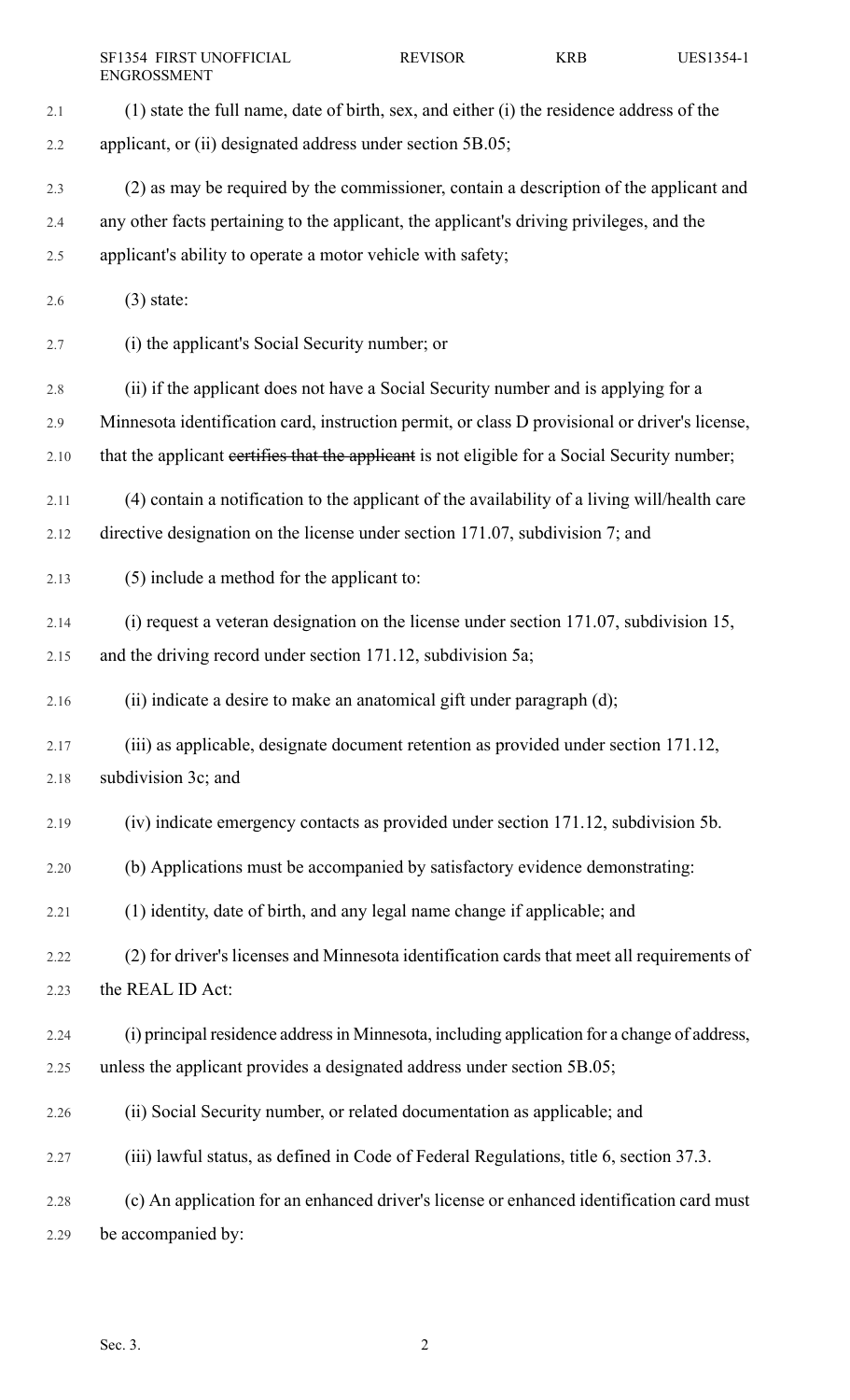|      | SF1354 FIRST UNOFFICIAL<br><b>ENGROSSMENT</b>                                                  | <b>REVISOR</b> | <b>KRB</b> | UES1354-1 |
|------|------------------------------------------------------------------------------------------------|----------------|------------|-----------|
| 2.1  | (1) state the full name, date of birth, sex, and either (i) the residence address of the       |                |            |           |
| 2.2  | applicant, or (ii) designated address under section 5B.05;                                     |                |            |           |
| 2.3  | (2) as may be required by the commissioner, contain a description of the applicant and         |                |            |           |
| 2.4  | any other facts pertaining to the applicant, the applicant's driving privileges, and the       |                |            |           |
| 2.5  | applicant's ability to operate a motor vehicle with safety;                                    |                |            |           |
| 2.6  | $(3)$ state:                                                                                   |                |            |           |
| 2.7  | (i) the applicant's Social Security number; or                                                 |                |            |           |
| 2.8  | (ii) if the applicant does not have a Social Security number and is applying for a             |                |            |           |
| 2.9  | Minnesota identification card, instruction permit, or class D provisional or driver's license, |                |            |           |
| 2.10 | that the applicant certifies that the applicant is not eligible for a Social Security number;  |                |            |           |
| 2.11 | (4) contain a notification to the applicant of the availability of a living will/health care   |                |            |           |
| 2.12 | directive designation on the license under section 171.07, subdivision 7; and                  |                |            |           |
| 2.13 | (5) include a method for the applicant to:                                                     |                |            |           |
| 2.14 | $(i)$ request a veteran designation on the license under section 171.07, subdivision 15,       |                |            |           |
| 2.15 | and the driving record under section 171.12, subdivision 5a;                                   |                |            |           |
| 2.16 | (ii) indicate a desire to make an anatomical gift under paragraph (d);                         |                |            |           |
| 2.17 | (iii) as applicable, designate document retention as provided under section 171.12,            |                |            |           |
| 2.18 | subdivision 3c; and                                                                            |                |            |           |
| 2.19 | (iv) indicate emergency contacts as provided under section 171.12, subdivision 5b.             |                |            |           |
| 2.20 | (b) Applications must be accompanied by satisfactory evidence demonstrating:                   |                |            |           |
| 2.21 | (1) identity, date of birth, and any legal name change if applicable; and                      |                |            |           |
| 2.22 | (2) for driver's licenses and Minnesota identification cards that meet all requirements of     |                |            |           |
| 2.23 | the REAL ID Act:                                                                               |                |            |           |
| 2.24 | (i) principal residence address in Minnesota, including application for a change of address,   |                |            |           |
| 2.25 | unless the applicant provides a designated address under section 5B.05;                        |                |            |           |
| 2.26 | (ii) Social Security number, or related documentation as applicable; and                       |                |            |           |
| 2.27 | (iii) lawful status, as defined in Code of Federal Regulations, title 6, section 37.3.         |                |            |           |
| 2.28 | (c) An application for an enhanced driver's license or enhanced identification card must       |                |            |           |
| 2.29 | be accompanied by:                                                                             |                |            |           |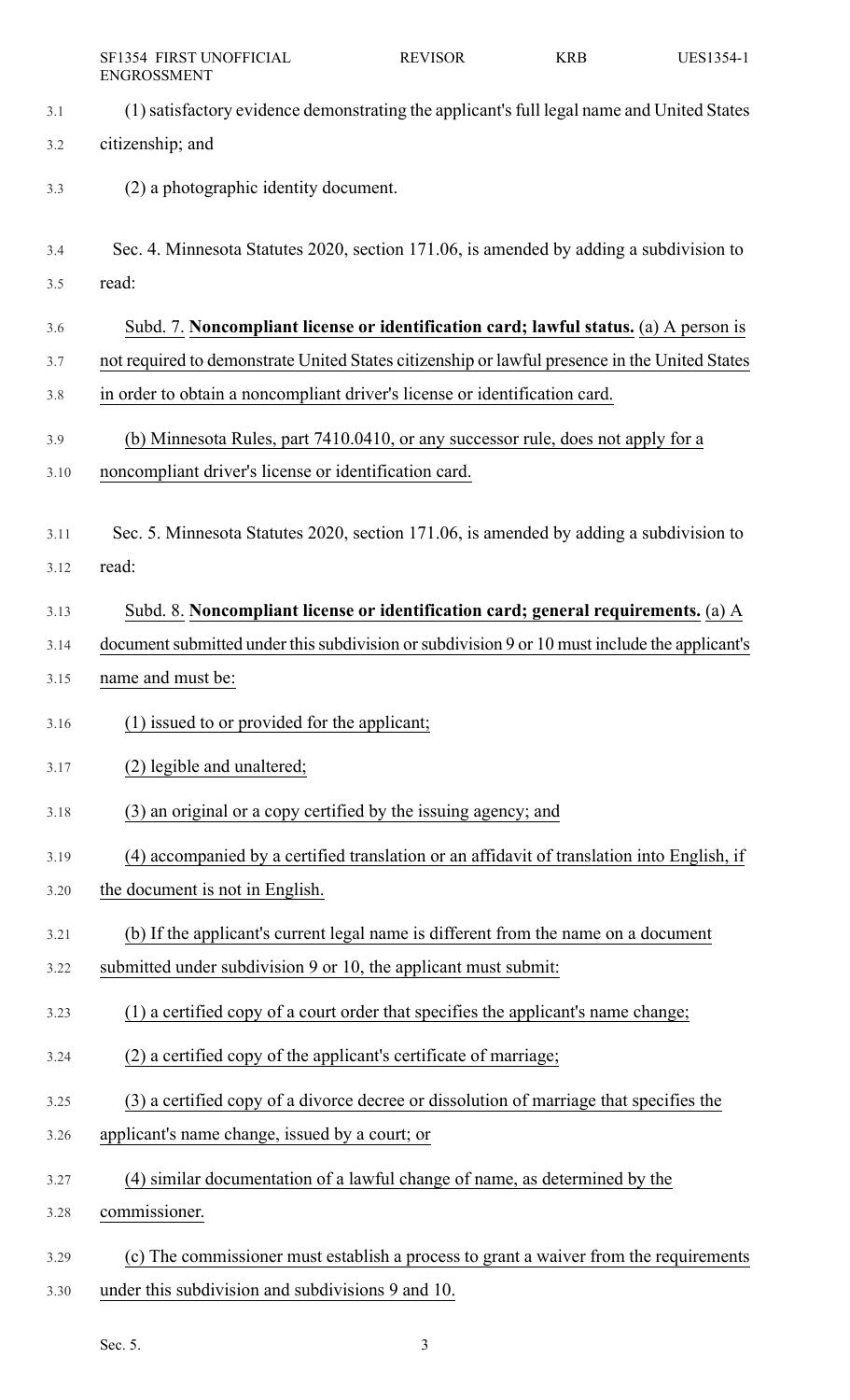|      | SF1354 FIRST UNOFFICIAL<br><b>ENGROSSMENT</b>                                                 | <b>REVISOR</b> | <b>KRB</b> | UES1354-1 |
|------|-----------------------------------------------------------------------------------------------|----------------|------------|-----------|
| 3.1  | (1) satisfactory evidence demonstrating the applicant's full legal name and United States     |                |            |           |
| 3.2  | citizenship; and                                                                              |                |            |           |
| 3.3  | (2) a photographic identity document.                                                         |                |            |           |
| 3.4  | Sec. 4. Minnesota Statutes 2020, section 171.06, is amended by adding a subdivision to        |                |            |           |
| 3.5  | read:                                                                                         |                |            |           |
| 3.6  | Subd. 7. Noncompliant license or identification card; lawful status. (a) A person is          |                |            |           |
| 3.7  | not required to demonstrate United States citizenship or lawful presence in the United States |                |            |           |
| 3.8  | in order to obtain a noncompliant driver's license or identification card.                    |                |            |           |
| 3.9  | (b) Minnesota Rules, part 7410.0410, or any successor rule, does not apply for a              |                |            |           |
| 3.10 | noncompliant driver's license or identification card.                                         |                |            |           |
|      |                                                                                               |                |            |           |
| 3.11 | Sec. 5. Minnesota Statutes 2020, section 171.06, is amended by adding a subdivision to        |                |            |           |
| 3.12 | read:                                                                                         |                |            |           |
| 3.13 | Subd. 8. Noncompliant license or identification card; general requirements. (a) A             |                |            |           |
| 3.14 | document submitted under this subdivision or subdivision 9 or 10 must include the applicant's |                |            |           |
| 3.15 | name and must be:                                                                             |                |            |           |
| 3.16 | (1) issued to or provided for the applicant;                                                  |                |            |           |
| 3.17 | (2) legible and unaltered;                                                                    |                |            |           |
| 3.18 | (3) an original or a copy certified by the issuing agency; and                                |                |            |           |
| 3.19 | (4) accompanied by a certified translation or an affidavit of translation into English, if    |                |            |           |
| 3.20 | the document is not in English.                                                               |                |            |           |
| 3.21 | (b) If the applicant's current legal name is different from the name on a document            |                |            |           |
| 3.22 | submitted under subdivision 9 or 10, the applicant must submit:                               |                |            |           |
| 3.23 | (1) a certified copy of a court order that specifies the applicant's name change;             |                |            |           |
| 3.24 | (2) a certified copy of the applicant's certificate of marriage;                              |                |            |           |
| 3.25 | (3) a certified copy of a divorce decree or dissolution of marriage that specifies the        |                |            |           |
| 3.26 | applicant's name change, issued by a court; or                                                |                |            |           |
| 3.27 | (4) similar documentation of a lawful change of name, as determined by the                    |                |            |           |
| 3.28 | commissioner.                                                                                 |                |            |           |
| 3.29 | (c) The commissioner must establish a process to grant a waiver from the requirements         |                |            |           |
| 3.30 | under this subdivision and subdivisions 9 and 10.                                             |                |            |           |
|      |                                                                                               |                |            |           |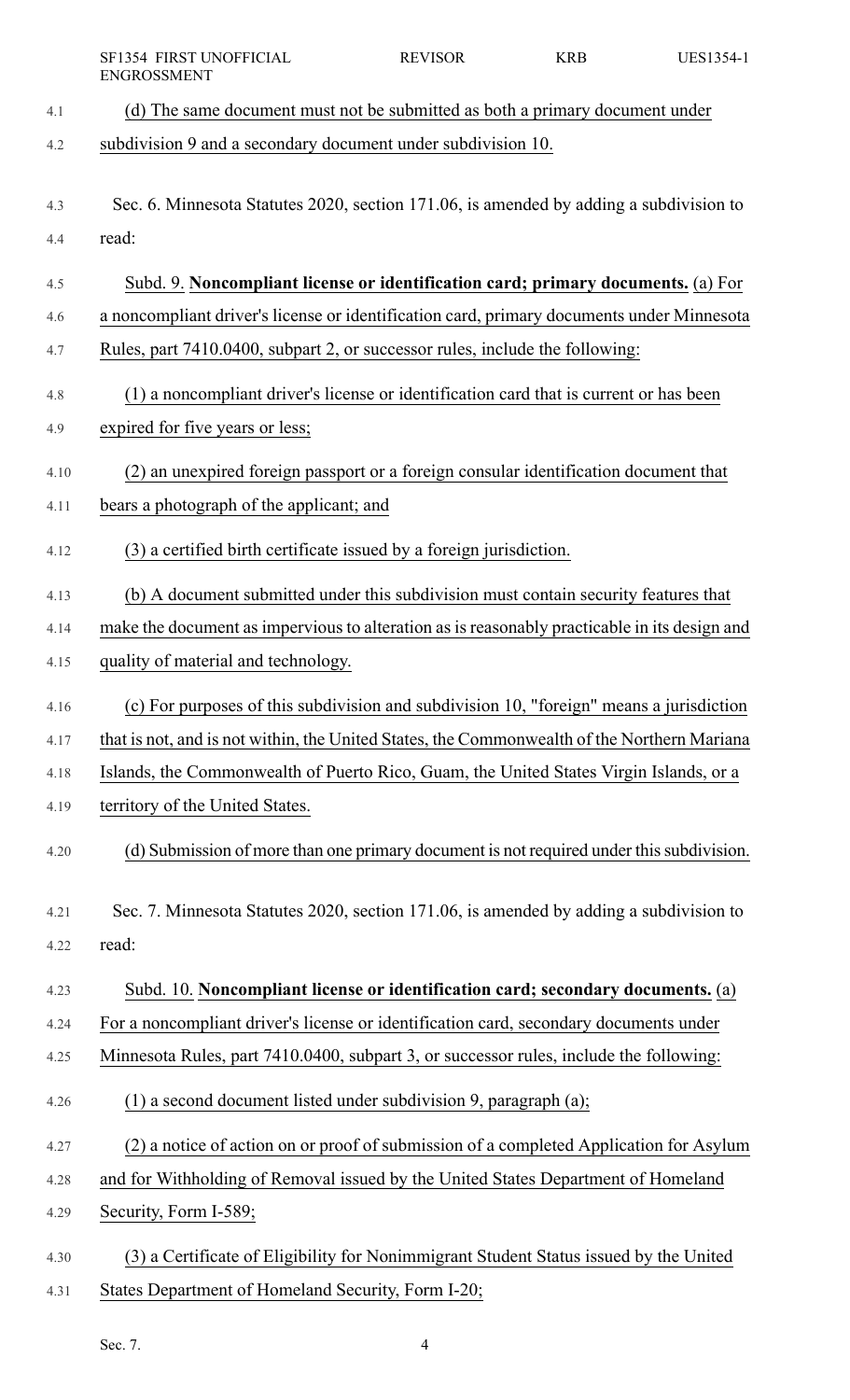|      | SF1354 FIRST UNOFFICIAL<br><b>ENGROSSMENT</b>                                                | <b>REVISOR</b> | <b>KRB</b> | UES1354-1 |
|------|----------------------------------------------------------------------------------------------|----------------|------------|-----------|
| 4.1  | (d) The same document must not be submitted as both a primary document under                 |                |            |           |
| 4.2  | subdivision 9 and a secondary document under subdivision 10.                                 |                |            |           |
| 4.3  | Sec. 6. Minnesota Statutes 2020, section 171.06, is amended by adding a subdivision to       |                |            |           |
| 4.4  | read:                                                                                        |                |            |           |
| 4.5  | Subd. 9. Noncompliant license or identification card; primary documents. (a) For             |                |            |           |
| 4.6  | a noncompliant driver's license or identification card, primary documents under Minnesota    |                |            |           |
| 4.7  | Rules, part 7410.0400, subpart 2, or successor rules, include the following:                 |                |            |           |
| 4.8  | (1) a noncompliant driver's license or identification card that is current or has been       |                |            |           |
| 4.9  | expired for five years or less;                                                              |                |            |           |
| 4.10 | (2) an unexpired foreign passport or a foreign consular identification document that         |                |            |           |
| 4.11 | bears a photograph of the applicant; and                                                     |                |            |           |
| 4.12 | (3) a certified birth certificate issued by a foreign jurisdiction.                          |                |            |           |
| 4.13 | (b) A document submitted under this subdivision must contain security features that          |                |            |           |
| 4.14 | make the document as impervious to alteration as is reasonably practicable in its design and |                |            |           |
| 4.15 | quality of material and technology.                                                          |                |            |           |
| 4.16 | (c) For purposes of this subdivision and subdivision 10, "foreign" means a jurisdiction      |                |            |           |
| 4.17 | that is not, and is not within, the United States, the Commonwealth of the Northern Mariana  |                |            |           |
| 4.18 | Islands, the Commonwealth of Puerto Rico, Guam, the United States Virgin Islands, or a       |                |            |           |
| 4.19 | territory of the United States.                                                              |                |            |           |
| 4.20 | (d) Submission of more than one primary document is not required under this subdivision.     |                |            |           |
| 4.21 | Sec. 7. Minnesota Statutes 2020, section 171.06, is amended by adding a subdivision to       |                |            |           |
| 4.22 | read:                                                                                        |                |            |           |
| 4.23 | Subd. 10. Noncompliant license or identification card; secondary documents. (a)              |                |            |           |
| 4.24 | For a noncompliant driver's license or identification card, secondary documents under        |                |            |           |
| 4.25 | Minnesota Rules, part 7410.0400, subpart 3, or successor rules, include the following:       |                |            |           |
| 4.26 | (1) a second document listed under subdivision 9, paragraph (a);                             |                |            |           |
| 4.27 | (2) a notice of action on or proof of submission of a completed Application for Asylum       |                |            |           |
| 4.28 | and for Withholding of Removal issued by the United States Department of Homeland            |                |            |           |
| 4.29 | Security, Form I-589;                                                                        |                |            |           |
| 4.30 | (3) a Certificate of Eligibility for Nonimmigrant Student Status issued by the United        |                |            |           |
| 4.31 | States Department of Homeland Security, Form I-20;                                           |                |            |           |

Sec. 7. 4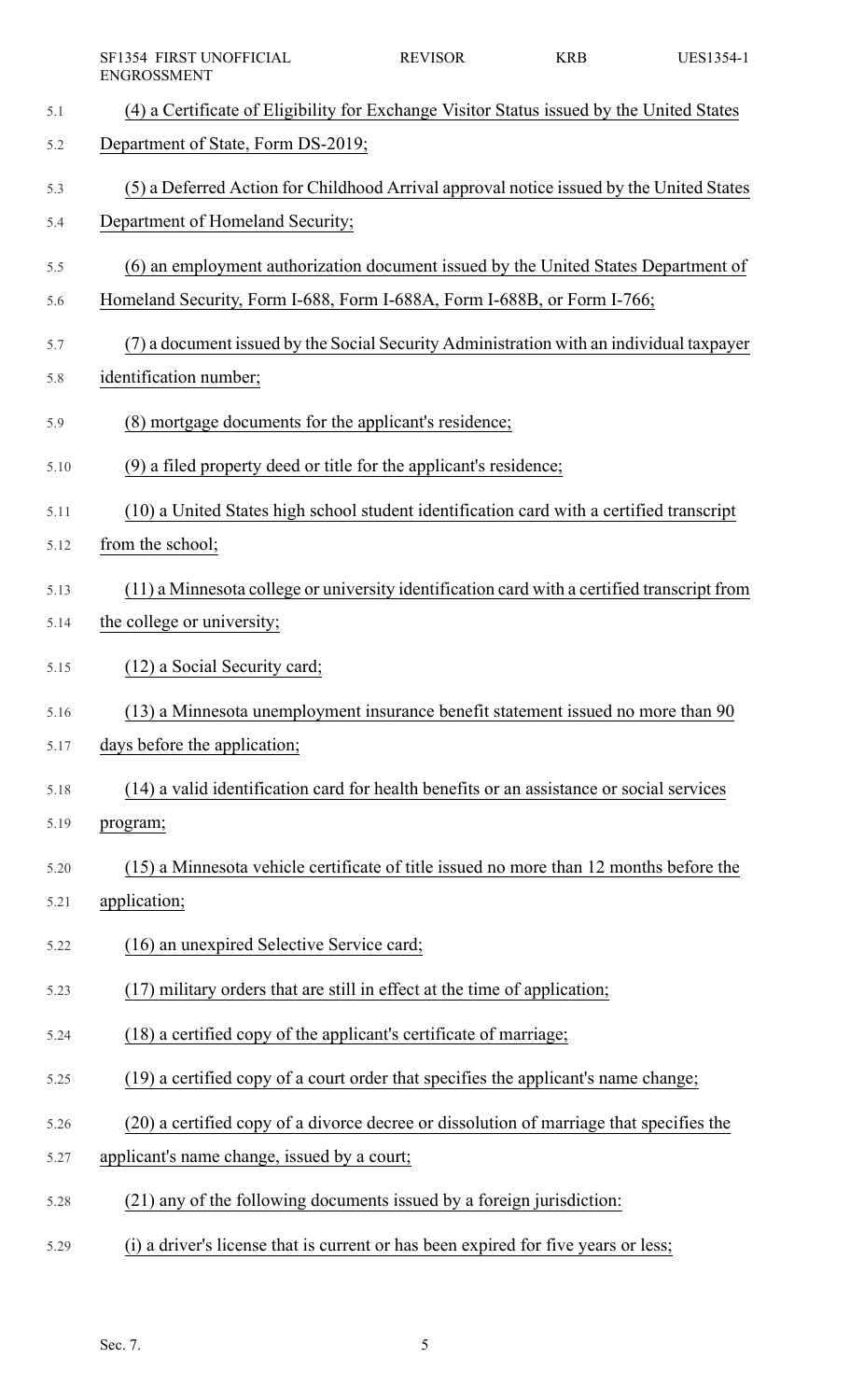|      | SF1354 FIRST UNOFFICIAL<br><b>ENGROSSMENT</b>                                               | <b>REVISOR</b> | <b>KRB</b> | UES1354-1 |
|------|---------------------------------------------------------------------------------------------|----------------|------------|-----------|
| 5.1  | (4) a Certificate of Eligibility for Exchange Visitor Status issued by the United States    |                |            |           |
| 5.2  | Department of State, Form DS-2019;                                                          |                |            |           |
| 5.3  | (5) a Deferred Action for Childhood Arrival approval notice issued by the United States     |                |            |           |
| 5.4  | Department of Homeland Security;                                                            |                |            |           |
| 5.5  | (6) an employment authorization document issued by the United States Department of          |                |            |           |
| 5.6  | Homeland Security, Form I-688, Form I-688A, Form I-688B, or Form I-766;                     |                |            |           |
| 5.7  | (7) a document issued by the Social Security Administration with an individual taxpayer     |                |            |           |
| 5.8  | identification number;                                                                      |                |            |           |
| 5.9  | (8) mortgage documents for the applicant's residence;                                       |                |            |           |
| 5.10 | (9) a filed property deed or title for the applicant's residence;                           |                |            |           |
| 5.11 | (10) a United States high school student identification card with a certified transcript    |                |            |           |
| 5.12 | from the school;                                                                            |                |            |           |
| 5.13 | (11) a Minnesota college or university identification card with a certified transcript from |                |            |           |
| 5.14 | the college or university;                                                                  |                |            |           |
| 5.15 | (12) a Social Security card;                                                                |                |            |           |
| 5.16 | (13) a Minnesota unemployment insurance benefit statement issued no more than 90            |                |            |           |
| 5.17 | days before the application;                                                                |                |            |           |
| 5.18 | (14) a valid identification card for health benefits or an assistance or social services    |                |            |           |
| 5.19 | program;                                                                                    |                |            |           |
| 5.20 | (15) a Minnesota vehicle certificate of title issued no more than 12 months before the      |                |            |           |
| 5.21 | application;                                                                                |                |            |           |
| 5.22 | (16) an unexpired Selective Service card;                                                   |                |            |           |
| 5.23 | (17) military orders that are still in effect at the time of application;                   |                |            |           |
| 5.24 | (18) a certified copy of the applicant's certificate of marriage;                           |                |            |           |
| 5.25 | (19) a certified copy of a court order that specifies the applicant's name change;          |                |            |           |
| 5.26 | (20) a certified copy of a divorce decree or dissolution of marriage that specifies the     |                |            |           |
| 5.27 | applicant's name change, issued by a court;                                                 |                |            |           |
| 5.28 | (21) any of the following documents issued by a foreign jurisdiction:                       |                |            |           |
| 5.29 | (i) a driver's license that is current or has been expired for five years or less;          |                |            |           |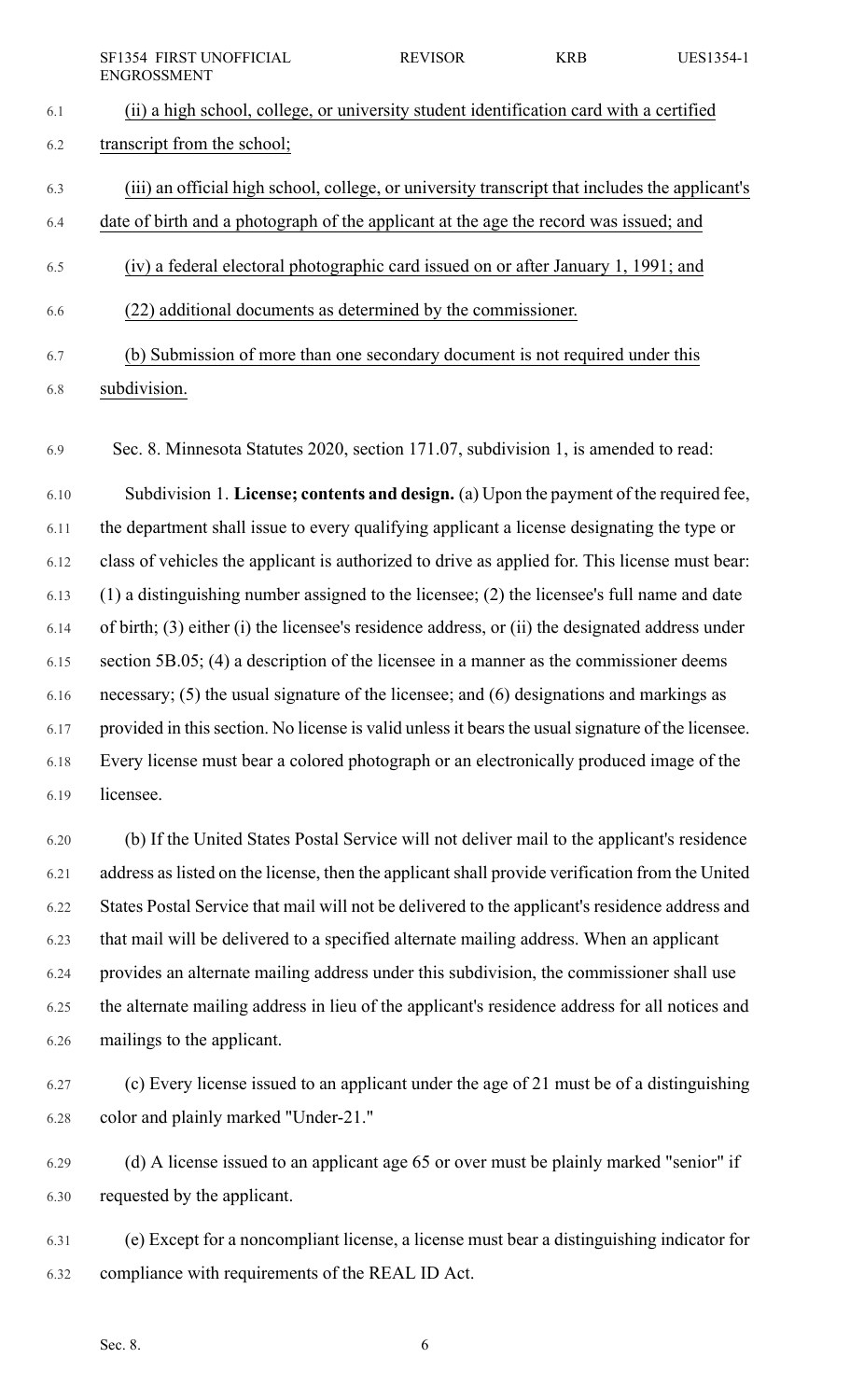| <b>SF1354 FIRST UNOFFICIAL</b> | <b>REVISOR</b> | KRB | UES1354-1 |
|--------------------------------|----------------|-----|-----------|
| ENGROSSMENT                    |                |     |           |

| 6.1 | (ii) a high school, college, or university student identification card with a certified |
|-----|-----------------------------------------------------------------------------------------|
| 6.2 | transcript from the school;                                                             |

6.3 (iii) an official high school, college, or university transcript that includes the applicant's

6.4 date of birth and a photograph of the applicant at the age the record was issued; and

- 6.5 (iv) a federal electoral photographic card issued on or after January 1, 1991; and
- 6.6 (22) additional documents as determined by the commissioner.

6.7 (b) Submission of more than one secondary document is not required under this

6.8 subdivision.

6.9 Sec. 8. Minnesota Statutes 2020, section 171.07, subdivision 1, is amended to read:

6.10 Subdivision 1. **License; contents and design.** (a) Upon the payment of the required fee, 6.11 the department shall issue to every qualifying applicant a license designating the type or 6.12 class of vehicles the applicant is authorized to drive as applied for. This license must bear: 6.13 (1) a distinguishing number assigned to the licensee; (2) the licensee's full name and date 6.14 of birth; (3) either (i) the licensee's residence address, or (ii) the designated address under 6.15 section 5B.05; (4) a description of the licensee in a manner as the commissioner deems 6.16 necessary; (5) the usual signature of the licensee; and (6) designations and markings as 6.17 provided in this section. No license is valid unless it bears the usual signature of the licensee. 6.18 Every license must bear a colored photograph or an electronically produced image of the 6.19 licensee.

6.20 (b) If the United States Postal Service will not deliver mail to the applicant's residence 6.21 address as listed on the license, then the applicant shall provide verification from the United 6.22 States Postal Service that mail will not be delivered to the applicant's residence address and 6.23 that mail will be delivered to a specified alternate mailing address. When an applicant 6.24 provides an alternate mailing address under this subdivision, the commissioner shall use 6.25 the alternate mailing address in lieu of the applicant's residence address for all notices and 6.26 mailings to the applicant.

6.27 (c) Every license issued to an applicant under the age of 21 must be of a distinguishing 6.28 color and plainly marked "Under-21."

6.29 (d) A license issued to an applicant age 65 or over must be plainly marked "senior" if 6.30 requested by the applicant.

6.31 (e) Except for a noncompliant license, a license must bear a distinguishing indicator for 6.32 compliance with requirements of the REAL ID Act.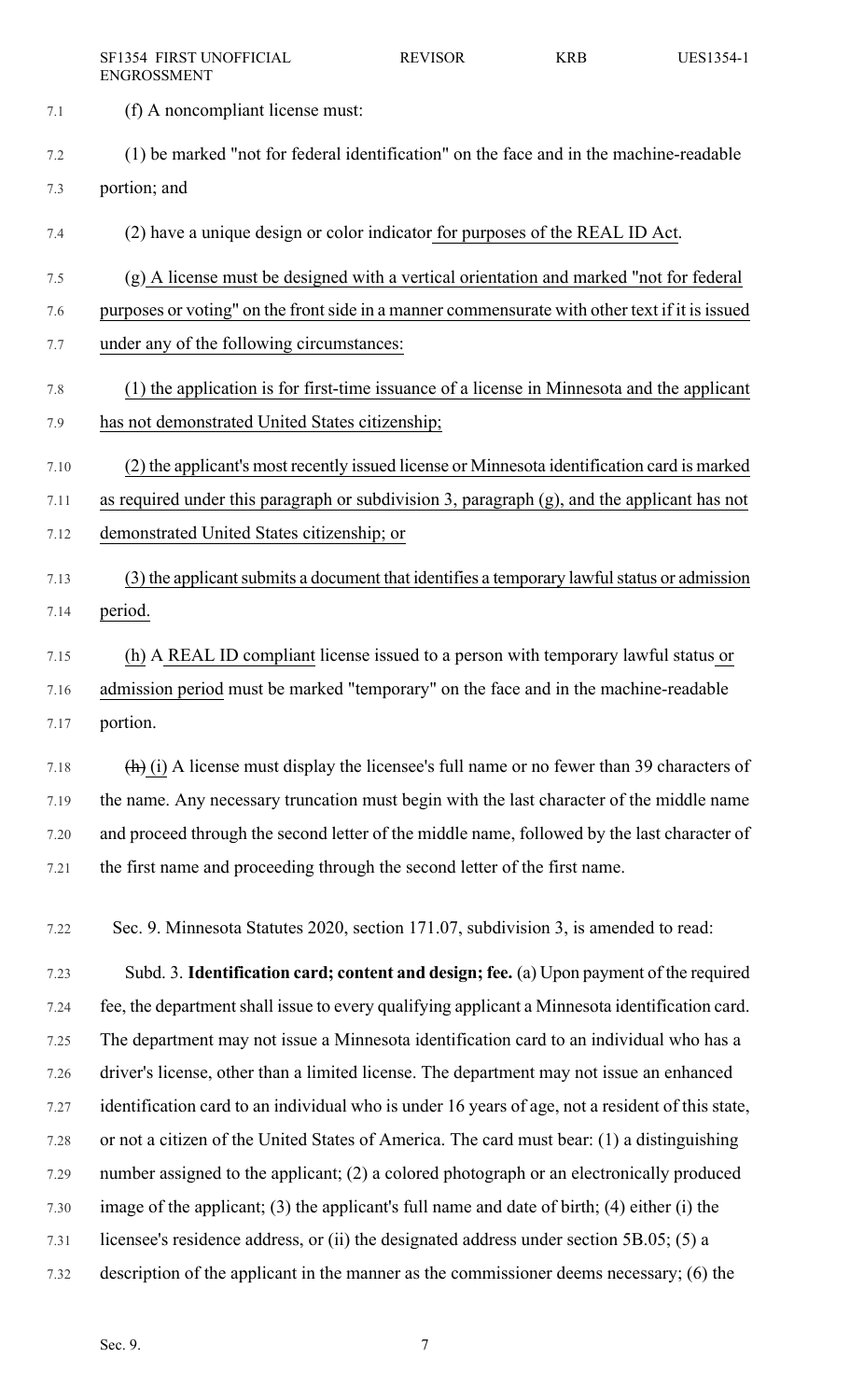- 7.1 (f) A noncompliant license must:
- 7.2 (1) be marked "not for federal identification" on the face and in the machine-readable 7.3 portion; and
- 7.4 (2) have a unique design or color indicator for purposes of the REAL ID Act.
- 7.5 (g) A license must be designed with a vertical orientation and marked "not for federal
- 7.6 purposes or voting" on the front side in a manner commensurate with other text if it is issued
- 7.7 under any of the following circumstances:
- 7.8 (1) the application is for first-time issuance of a license in Minnesota and the applicant 7.9 has not demonstrated United States citizenship;
- 7.10 (2) the applicant's most recently issued license or Minnesota identification card is marked
- 7.11 as required under this paragraph or subdivision 3, paragraph (g), and the applicant has not
- 7.12 demonstrated United States citizenship; or
- 7.13 (3) the applicant submits a document that identifies a temporary lawful status or admission 7.14 period.
- 7.15 (h) A REAL ID compliant license issued to a person with temporary lawful status or 7.16 admission period must be marked "temporary" on the face and in the machine-readable 7.17 portion.

7.18  $\left(\frac{h}{h}\right)$  (i) A license must display the licensee's full name or no fewer than 39 characters of 7.19 the name. Any necessary truncation must begin with the last character of the middle name 7.20 and proceed through the second letter of the middle name, followed by the last character of 7.21 the first name and proceeding through the second letter of the first name.

7.22 Sec. 9. Minnesota Statutes 2020, section 171.07, subdivision 3, is amended to read:

7.23 Subd. 3. **Identification card; content and design; fee.** (a) Upon payment of the required 7.24 fee, the department shall issue to every qualifying applicant a Minnesota identification card. 7.25 The department may not issue a Minnesota identification card to an individual who has a 7.26 driver's license, other than a limited license. The department may not issue an enhanced 7.27 identification card to an individual who is under 16 years of age, not a resident of this state, 7.28 or not a citizen of the United States of America. The card must bear: (1) a distinguishing 7.29 number assigned to the applicant; (2) a colored photograph or an electronically produced 7.30 image of the applicant; (3) the applicant's full name and date of birth; (4) either (i) the 7.31 licensee's residence address, or (ii) the designated address under section 5B.05; (5) a 7.32 description of the applicant in the manner as the commissioner deems necessary; (6) the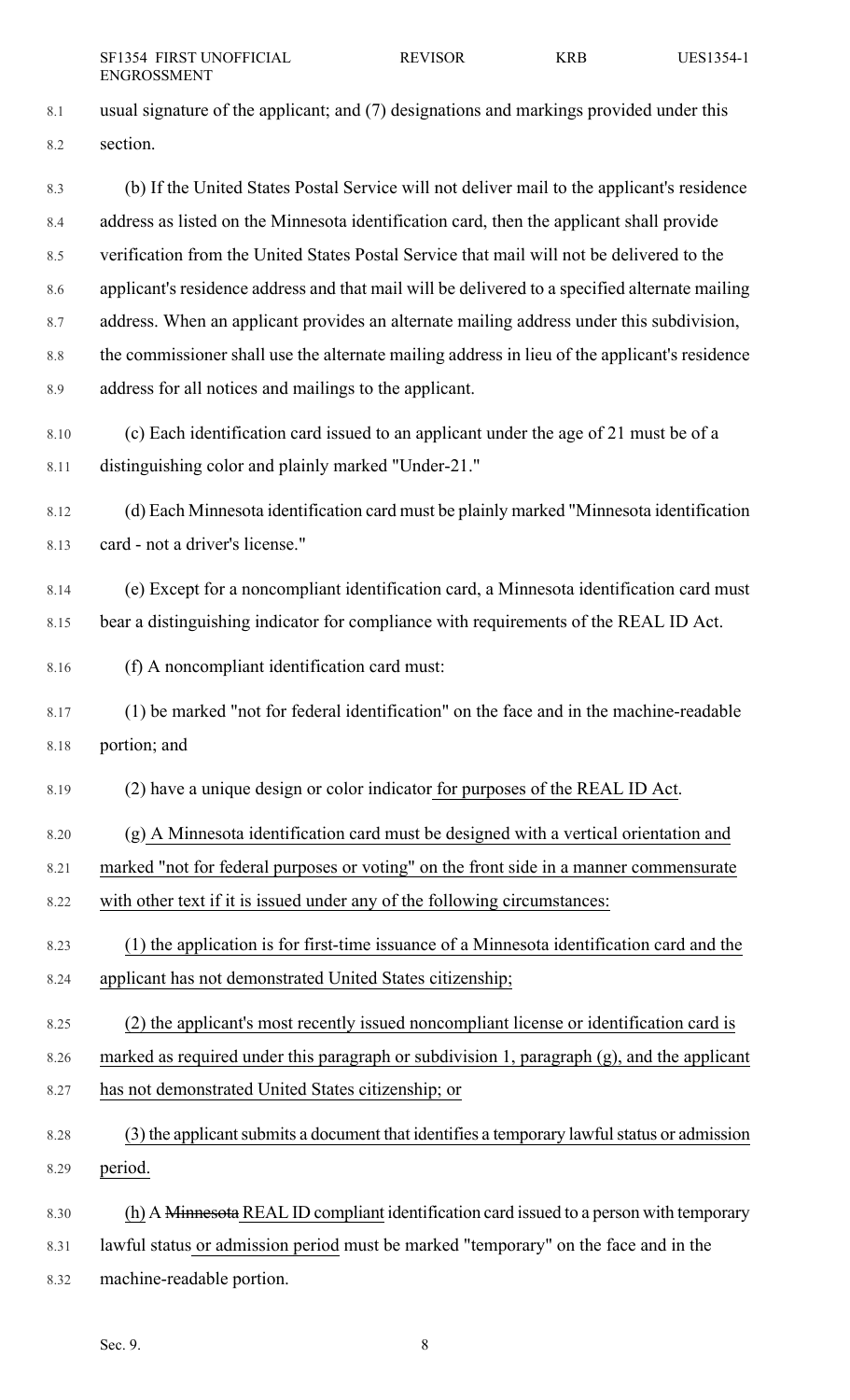- 8.1 usual signature of the applicant; and (7) designations and markings provided under this 8.2 section. 8.3 (b) If the United States Postal Service will not deliver mail to the applicant's residence 8.4 address as listed on the Minnesota identification card, then the applicant shall provide 8.5 verification from the United States Postal Service that mail will not be delivered to the 8.6 applicant's residence address and that mail will be delivered to a specified alternate mailing 8.7 address. When an applicant provides an alternate mailing address under this subdivision, 8.8 the commissioner shall use the alternate mailing address in lieu of the applicant's residence 8.9 address for all notices and mailings to the applicant. 8.10 (c) Each identification card issued to an applicant under the age of 21 must be of a 8.11 distinguishing color and plainly marked "Under-21." 8.12 (d) Each Minnesota identification card must be plainly marked "Minnesota identification 8.13 card - not a driver's license." 8.14 (e) Except for a noncompliant identification card, a Minnesota identification card must 8.15 bear a distinguishing indicator for compliance with requirements of the REAL ID Act. 8.16 (f) A noncompliant identification card must: 8.17 (1) be marked "not for federal identification" on the face and in the machine-readable 8.18 portion; and 8.19 (2) have a unique design or color indicator for purposes of the REAL ID Act. 8.20 (g) A Minnesota identification card must be designed with a vertical orientation and 8.21 marked "not for federal purposes or voting" on the front side in a manner commensurate 8.22 with other text if it is issued under any of the following circumstances: 8.23 (1) the application is for first-time issuance of a Minnesota identification card and the 8.24 applicant has not demonstrated United States citizenship; 8.25 (2) the applicant's most recently issued noncompliant license or identification card is 8.26 marked as required under this paragraph or subdivision 1, paragraph (g), and the applicant 8.27 has not demonstrated United States citizenship; or 8.28 (3) the applicant submits a document that identifies a temporary lawful status or admission 8.29 period. 8.30 (h) A Minnesota REAL ID compliant identification card issued to a person with temporary 8.31 lawful status or admission period must be marked "temporary" on the face and in the
- 8.32 machine-readable portion.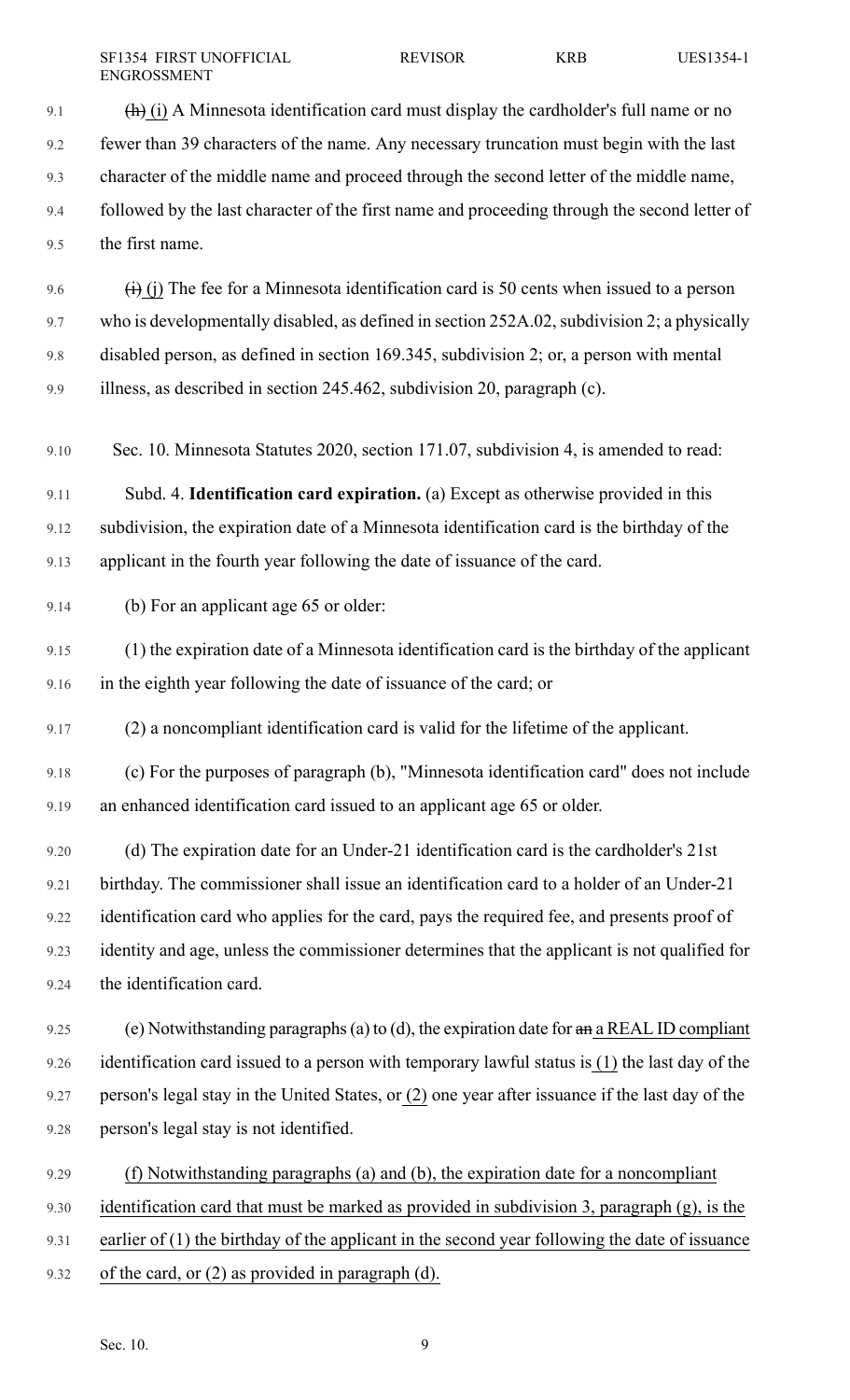9.1  $(h)$  (i) A Minnesota identification card must display the cardholder's full name or no 9.2 fewer than 39 characters of the name. Any necessary truncation must begin with the last 9.3 character of the middle name and proceed through the second letter of the middle name, 9.4 followed by the last character of the first name and proceeding through the second letter of 9.5 the first name. 9.6  $\overrightarrow{(i)}$  (i) The fee for a Minnesota identification card is 50 cents when issued to a person 9.7 who is developmentally disabled, as defined in section 252A.02, subdivision 2; a physically 9.8 disabled person, as defined in section 169.345, subdivision 2; or, a person with mental 9.9 illness, as described in section 245.462, subdivision 20, paragraph (c). 9.10 Sec. 10. Minnesota Statutes 2020, section 171.07, subdivision 4, is amended to read: 9.11 Subd. 4. **Identification card expiration.** (a) Except as otherwise provided in this 9.12 subdivision, the expiration date of a Minnesota identification card is the birthday of the 9.13 applicant in the fourth year following the date of issuance of the card. 9.14 (b) For an applicant age 65 or older: 9.15 (1) the expiration date of a Minnesota identification card is the birthday of the applicant 9.16 in the eighth year following the date of issuance of the card; or 9.17 (2) a noncompliant identification card is valid for the lifetime of the applicant. 9.18 (c) For the purposes of paragraph (b), "Minnesota identification card" does not include 9.19 an enhanced identification card issued to an applicant age 65 or older. 9.20 (d) The expiration date for an Under-21 identification card is the cardholder's 21st 9.21 birthday. The commissioner shall issue an identification card to a holder of an Under-21 9.22 identification card who applies for the card, pays the required fee, and presents proof of 9.23 identity and age, unless the commissioner determines that the applicant is not qualified for 9.24 the identification card. 9.25 (e) Notwithstanding paragraphs (a) to (d), the expiration date for  $\theta$  and REAL ID compliant 9.26 identification card issued to a person with temporary lawful status is (1) the last day of the 9.27 person's legal stay in the United States, or (2) one year after issuance if the last day of the 9.28 person's legal stay is not identified. 9.29 (f) Notwithstanding paragraphs (a) and (b), the expiration date for a noncompliant 9.30 identification card that must be marked as provided in subdivision 3, paragraph (g), is the

9.31 earlier of (1) the birthday of the applicant in the second year following the date of issuance

9.32 of the card, or (2) as provided in paragraph (d).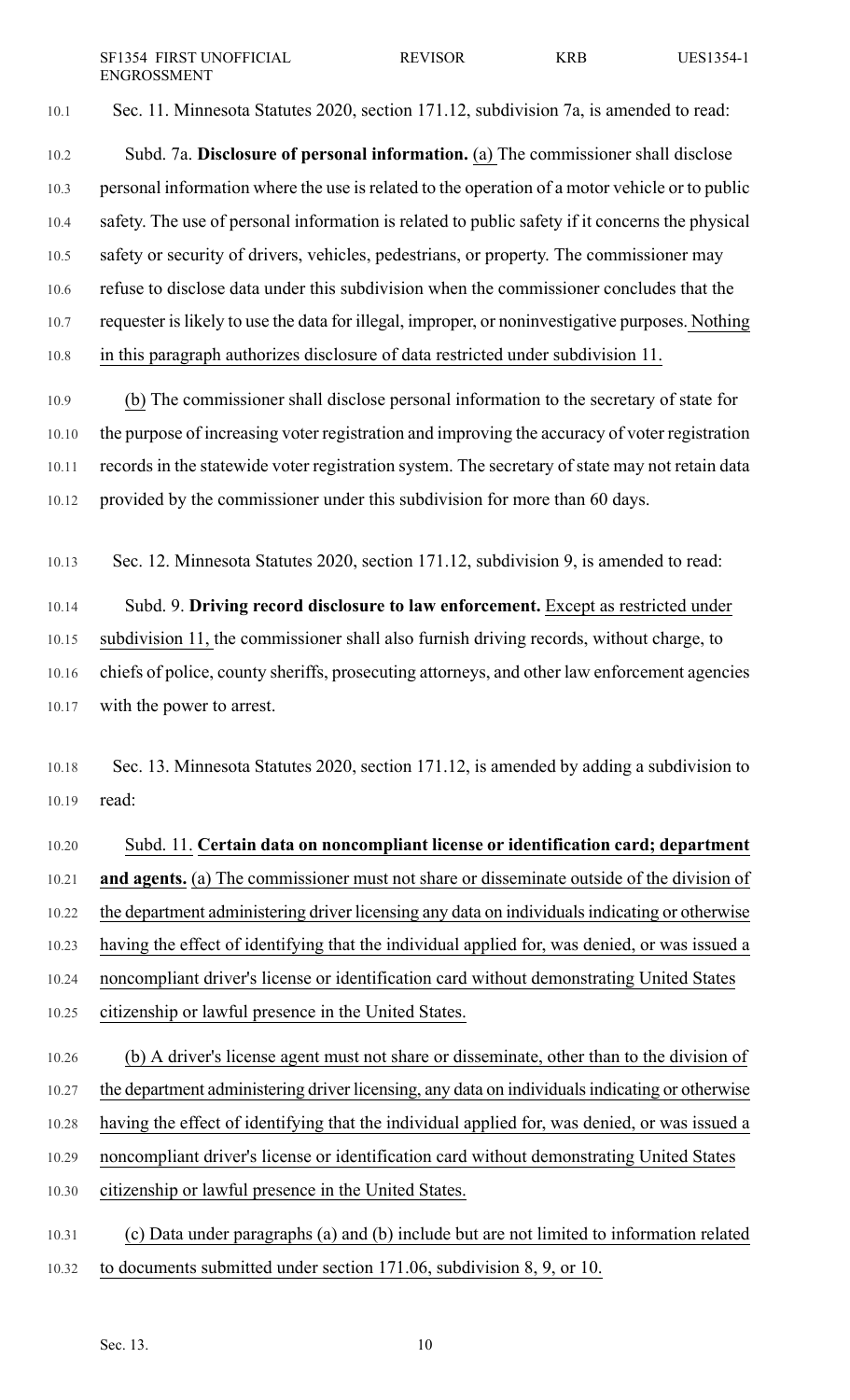SF1354 FIRST UNOFFICIAL REVISOR KRB UES1354-1 ENGROSSMENT

10.1 Sec. 11. Minnesota Statutes 2020, section 171.12, subdivision 7a, is amended to read:

- 10.2 Subd. 7a. **Disclosure of personal information.** (a) The commissioner shall disclose 10.3 personal information where the use is related to the operation of a motor vehicle or to public 10.4 safety. The use of personal information is related to public safety if it concerns the physical 10.5 safety or security of drivers, vehicles, pedestrians, or property. The commissioner may 10.6 refuse to disclose data under this subdivision when the commissioner concludes that the 10.7 requester islikely to use the data for illegal, improper, or noninvestigative purposes. Nothing 10.8 in this paragraph authorizes disclosure of data restricted under subdivision 11.
- 10.9 (b) The commissioner shall disclose personal information to the secretary of state for 10.10 the purpose of increasing voter registration and improving the accuracy of voter registration 10.11 records in the statewide voter registration system. The secretary of state may not retain data 10.12 provided by the commissioner under this subdivision for more than 60 days.
- 10.13 Sec. 12. Minnesota Statutes 2020, section 171.12, subdivision 9, is amended to read:
- 10.14 Subd. 9. **Driving record disclosure to law enforcement.** Except as restricted under 10.15 subdivision 11, the commissioner shall also furnish driving records, without charge, to 10.16 chiefs of police, county sheriffs, prosecuting attorneys, and other law enforcement agencies 10.17 with the power to arrest.
- 10.18 Sec. 13. Minnesota Statutes 2020, section 171.12, is amended by adding a subdivision to 10.19 read:
- 10.20 Subd. 11. **Certain data on noncompliant license or identification card; department** 10.21 **and agents.** (a) The commissioner must not share or disseminate outside of the division of 10.22 the department administering driver licensing any data on individuals indicating or otherwise 10.23 having the effect of identifying that the individual applied for, was denied, or was issued a 10.24 noncompliant driver's license or identification card without demonstrating United States 10.25 citizenship or lawful presence in the United States.
- 10.26 (b) A driver's license agent must not share or disseminate, other than to the division of 10.27 the department administering driver licensing, any data on individuals indicating or otherwise 10.28 having the effect of identifying that the individual applied for, was denied, or was issued a 10.29 noncompliant driver's license or identification card without demonstrating United States 10.30 citizenship or lawful presence in the United States.
- 10.31 (c) Data under paragraphs (a) and (b) include but are not limited to information related 10.32 to documents submitted under section 171.06, subdivision 8, 9, or 10.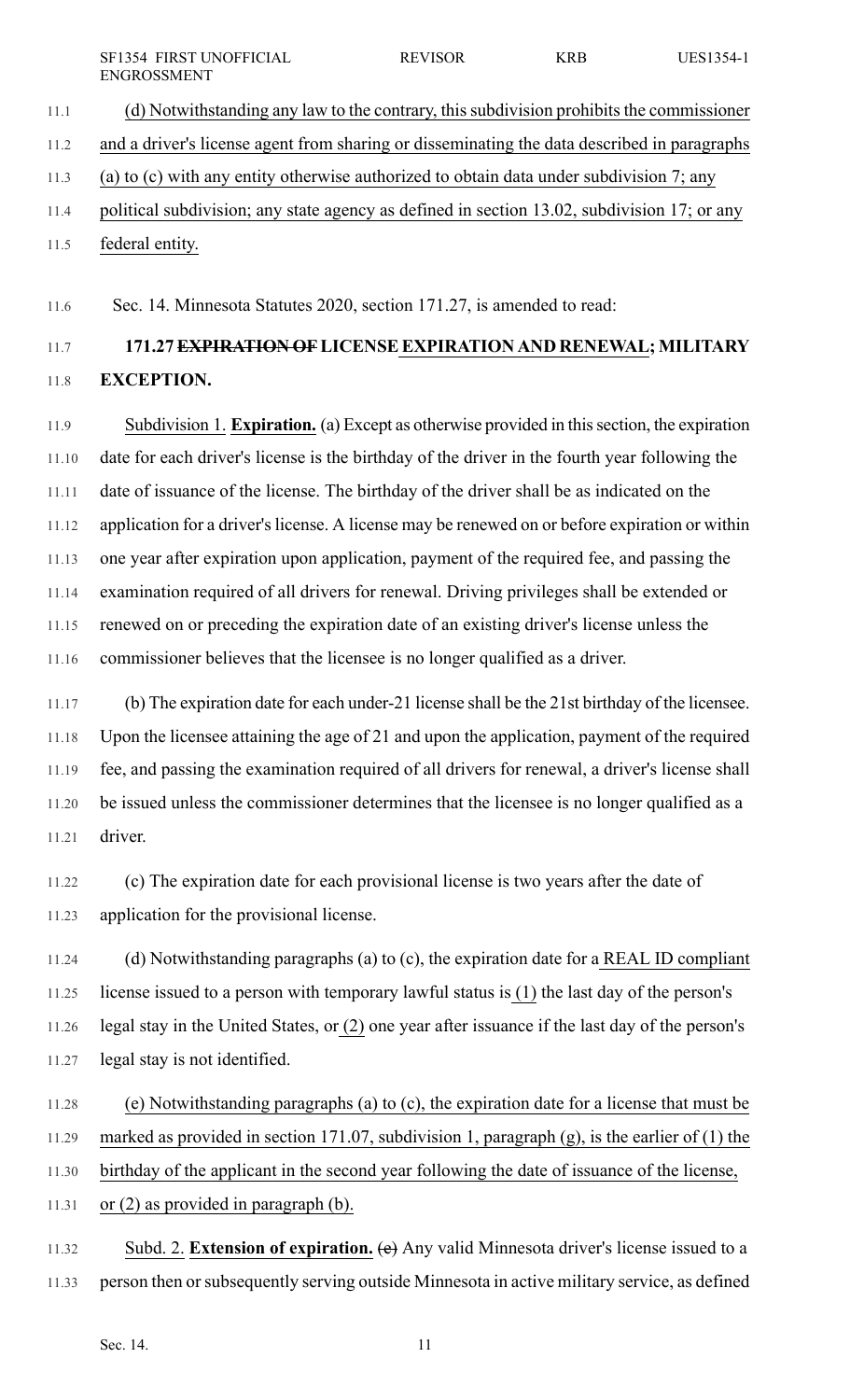11.1 (d) Notwithstanding any law to the contrary, this subdivision prohibits the commissioner 11.2 and a driver's license agent from sharing or disseminating the data described in paragraphs 11.3 (a) to (c) with any entity otherwise authorized to obtain data under subdivision 7; any 11.4 political subdivision; any state agency as defined in section 13.02, subdivision 17; or any

11.5 federal entity.

11.6 Sec. 14. Minnesota Statutes 2020, section 171.27, is amended to read:

# 11.7 **171.27EXPIRATION OFLICENSEEXPIRATION AND RENEWAL; MILITARY** 11.8 **EXCEPTION.**

11.9 Subdivision 1. **Expiration.** (a) Except as otherwise provided in thissection, the expiration 11.10 date for each driver's license is the birthday of the driver in the fourth year following the 11.11 date of issuance of the license. The birthday of the driver shall be as indicated on the 11.12 application for a driver's license. A license may be renewed on or before expiration or within 11.13 one year after expiration upon application, payment of the required fee, and passing the 11.14 examination required of all drivers for renewal. Driving privileges shall be extended or 11.15 renewed on or preceding the expiration date of an existing driver's license unless the 11.16 commissioner believes that the licensee is no longer qualified as a driver.

11.17 (b) The expiration date for each under-21 license shall be the 21st birthday of the licensee. 11.18 Upon the licensee attaining the age of 21 and upon the application, payment of the required 11.19 fee, and passing the examination required of all drivers for renewal, a driver's license shall 11.20 be issued unless the commissioner determines that the licensee is no longer qualified as a 11.21 driver.

11.22 (c) The expiration date for each provisional license is two years after the date of 11.23 application for the provisional license.

11.24 (d) Notwithstanding paragraphs (a) to (c), the expiration date for a REAL ID compliant 11.25 license issued to a person with temporary lawful status is (1) the last day of the person's 11.26 legal stay in the United States, or (2) one year after issuance if the last day of the person's 11.27 legal stay is not identified.

11.28 (e) Notwithstanding paragraphs (a) to (c), the expiration date for a license that must be 11.29 marked as provided in section 171.07, subdivision 1, paragraph (g), is the earlier of (1) the

- 11.30 birthday of the applicant in the second year following the date of issuance of the license,
- 11.31 or (2) as provided in paragraph (b).

11.32 Subd. 2. **Extension of expiration.** (e) Any valid Minnesota driver's license issued to a 11.33 person then orsubsequently serving outside Minnesota in active military service, as defined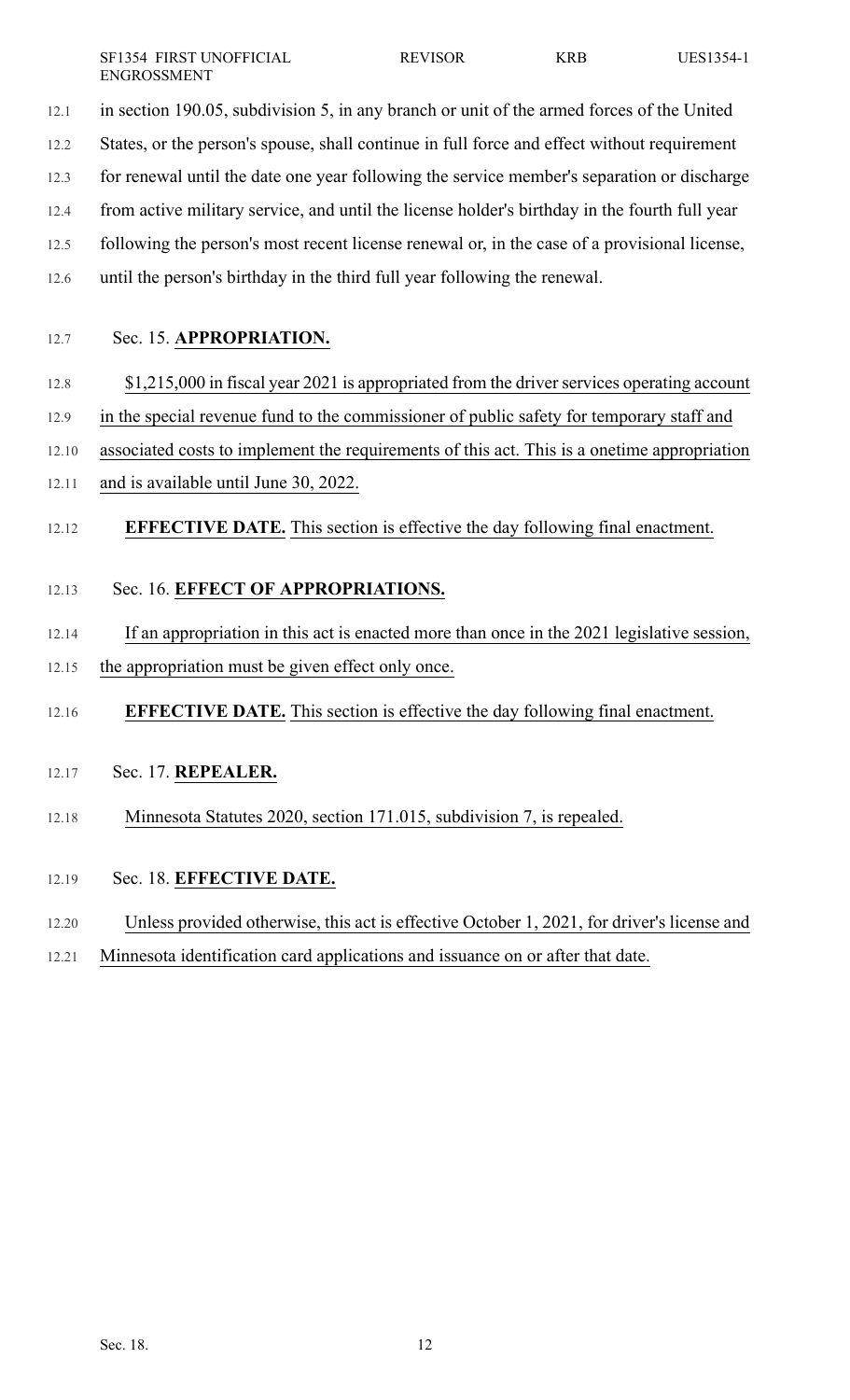SF1354 FIRST UNOFFICIAL REVISOR KRB UES1354-1 ENGROSSMENT

12.1 in section 190.05, subdivision 5, in any branch or unit of the armed forces of the United

12.2 States, or the person's spouse, shall continue in full force and effect without requirement

12.3 for renewal until the date one year following the service member's separation or discharge

12.4 from active military service, and until the license holder's birthday in the fourth full year

12.5 following the person's most recent license renewal or, in the case of a provisional license,

12.6 until the person's birthday in the third full year following the renewal.

12.7 Sec. 15. **APPROPRIATION.**

## 12.8  $\qquad$  \$1,215,000 in fiscal year 2021 is appropriated from the driver services operating account

12.9 in the special revenue fund to the commissioner of public safety for temporary staff and

12.10 associated costs to implement the requirements of this act. This is a onetime appropriation

- 12.11 and is available until June 30, 2022.
- 12.12 **EFFECTIVE DATE.** This section is effective the day following final enactment.

## 12.13 Sec. 16. **EFFECT OF APPROPRIATIONS.**

12.14 If an appropriation in this act is enacted more than once in the 2021 legislative session, 12.15 the appropriation must be given effect only once.

12.16 **EFFECTIVE DATE.** This section is effective the day following final enactment.

- 12.17 Sec. 17. **REPEALER.**
- 12.18 Minnesota Statutes 2020, section 171.015, subdivision 7, is repealed.
- 12.19 Sec. 18. **EFFECTIVE DATE.**
- 12.20 Unless provided otherwise, this act is effective October 1, 2021, for driver's license and
- 12.21 Minnesota identification card applications and issuance on or after that date.